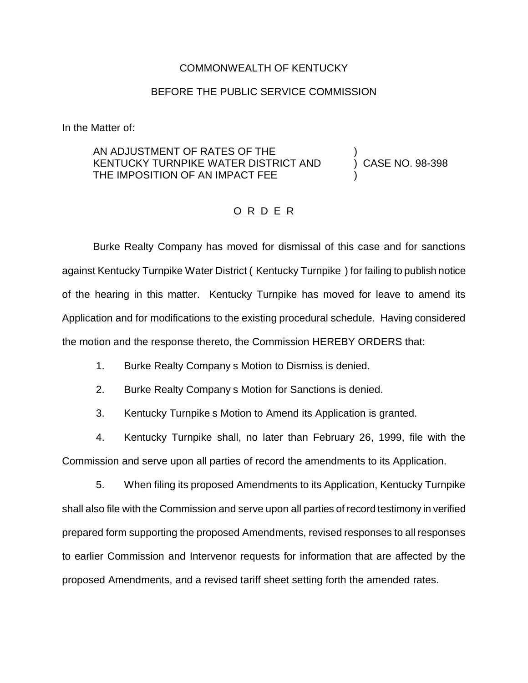## COMMONWEALTH OF KENTUCKY

## BEFORE THE PUBLIC SERVICE COMMISSION

In the Matter of:

## AN ADJUSTMENT OF RATES OF THE KENTUCKY TURNPIKE WATER DISTRICT AND THE IMPOSITION OF AN IMPACT FEE

) CASE NO. 98-398

)

)

## O R D E R

Burke Realty Company has moved for dismissal of this case and for sanctions against Kentucky Turnpike Water District ( Kentucky Turnpike ) for failing to publish notice of the hearing in this matter. Kentucky Turnpike has moved for leave to amend its Application and for modifications to the existing procedural schedule. Having considered the motion and the response thereto, the Commission HEREBY ORDERS that:

1. Burke Realty Company s Motion to Dismiss is denied.

2. Burke Realty Company s Motion for Sanctions is denied.

3. Kentucky Turnpike s Motion to Amend its Application is granted.

4. Kentucky Turnpike shall, no later than February 26, 1999, file with the Commission and serve upon all parties of record the amendments to its Application.

5. When filing its proposed Amendments to its Application, Kentucky Turnpike shall also file with the Commission and serve upon all parties of record testimony in verified prepared form supporting the proposed Amendments, revised responses to all responses to earlier Commission and Intervenor requests for information that are affected by the proposed Amendments, and a revised tariff sheet setting forth the amended rates.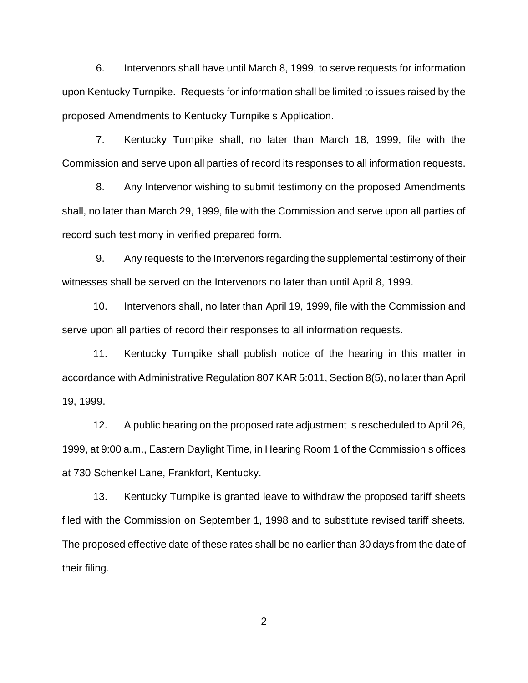6. Intervenors shall have until March 8, 1999, to serve requests for information upon Kentucky Turnpike. Requests for information shall be limited to issues raised by the proposed Amendments to Kentucky Turnpike s Application.

7. Kentucky Turnpike shall, no later than March 18, 1999, file with the Commission and serve upon all parties of record its responses to all information requests.

8. Any Intervenor wishing to submit testimony on the proposed Amendments shall, no later than March 29, 1999, file with the Commission and serve upon all parties of record such testimony in verified prepared form.

9. Any requests to the Intervenors regarding the supplemental testimony of their witnesses shall be served on the Intervenors no later than until April 8, 1999.

10. Intervenors shall, no later than April 19, 1999, file with the Commission and serve upon all parties of record their responses to all information requests.

11. Kentucky Turnpike shall publish notice of the hearing in this matter in accordance with Administrative Regulation 807 KAR 5:011, Section 8(5), no later than April 19, 1999.

12. A public hearing on the proposed rate adjustment is rescheduled to April 26, 1999, at 9:00 a.m., Eastern Daylight Time, in Hearing Room 1 of the Commission s offices at 730 Schenkel Lane, Frankfort, Kentucky.

13. Kentucky Turnpike is granted leave to withdraw the proposed tariff sheets filed with the Commission on September 1, 1998 and to substitute revised tariff sheets. The proposed effective date of these rates shall be no earlier than 30 days from the date of their filing.

-2-